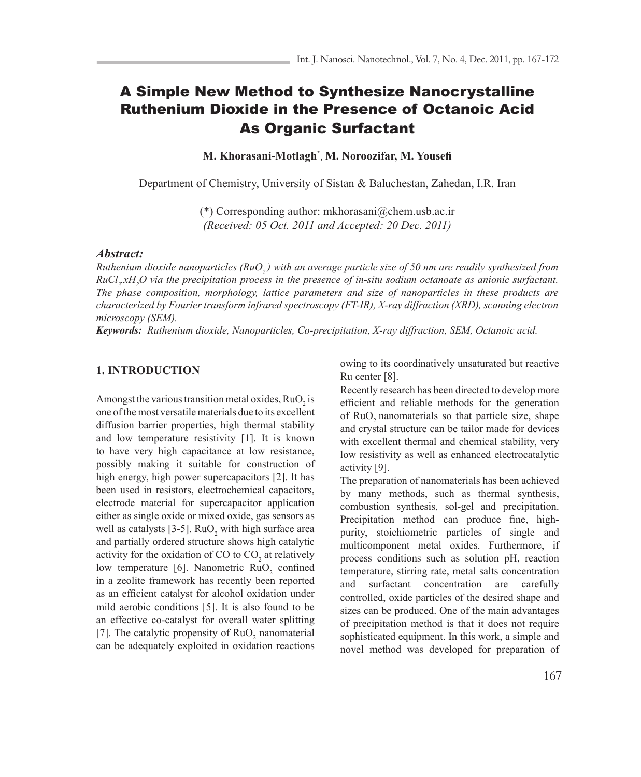# A Simple New Method to Synthesize Nanocrystalline Ruthenium Dioxide in the Presence of Octanoic Acid As Organic Surfactant

**M. Khorasani-Motlagh\*** , **M. Noroozifar, M. Yousefi**

Department of Chemistry, University of Sistan & Baluchestan, Zahedan, I.R. Iran

(\*) Corresponding author: mkhorasani@chem.usb.ac.ir *(Received: 05 Oct. 2011 and Accepted: 20 Dec. 2011)*

#### *Abstract:*

*Ruthenium dioxide nanoparticles (RuO<sub>2</sub>) with an average particle size of 50 nm are readily synthesized from*  $RuCl<sub>3</sub>$ *xH<sub>2</sub>O via the precipitation process in the presence of in-situ sodium octanoate as anionic surfactant. The phase composition, morphology, lattice parameters and size of nanoparticles in these products are characterized by Fourier transform infrared spectroscopy (FT-IR), X-ray diffraction (XRD), scanning electron microscopy (SEM).* 

*Keywords: Ruthenium dioxide, Nanoparticles, Co-precipitation, X-ray diffraction, SEM, Octanoic acid.*

# **1. INTRODUCTION**

Amongst the various transition metal oxides,  $RuO<sub>2</sub>$  is one of the most versatile materials due to its excellent diffusion barrier properties, high thermal stability and low temperature resistivity [1]. It is known to have very high capacitance at low resistance, possibly making it suitable for construction of high energy, high power supercapacitors [2]. It has been used in resistors, electrochemical capacitors, electrode material for supercapacitor application either as single oxide or mixed oxide, gas sensors as well as catalysts [3-5].  $RuO_2$  with high surface area and partially ordered structure shows high catalytic activity for the oxidation of CO to  $CO_2$  at relatively low temperature [6]. Nanometric RuO<sub>2</sub> confined in a zeolite framework has recently been reported as an efficient catalyst for alcohol oxidation under mild aerobic conditions [5]. It is also found to be an effective co-catalyst for overall water splitting [7]. The catalytic propensity of  $RuO<sub>2</sub>$  nanomaterial can be adequately exploited in oxidation reactions

owing to its coordinatively unsaturated but reactive Ru center [8].

Recently research has been directed to develop more efficient and reliable methods for the generation of RuO<sub>2</sub> nanomaterials so that particle size, shape and crystal structure can be tailor made for devices with excellent thermal and chemical stability, very low resistivity as well as enhanced electrocatalytic activity [9].

The preparation of nanomaterials has been achieved by many methods, such as thermal synthesis, combustion synthesis, sol-gel and precipitation. Precipitation method can produce fine, highpurity, stoichiometric particles of single and multicomponent metal oxides. Furthermore, if process conditions such as solution pH, reaction temperature, stirring rate, metal salts concentration and surfactant concentration are carefully controlled, oxide particles of the desired shape and sizes can be produced. One of the main advantages of precipitation method is that it does not require sophisticated equipment. In this work, a simple and novel method was developed for preparation of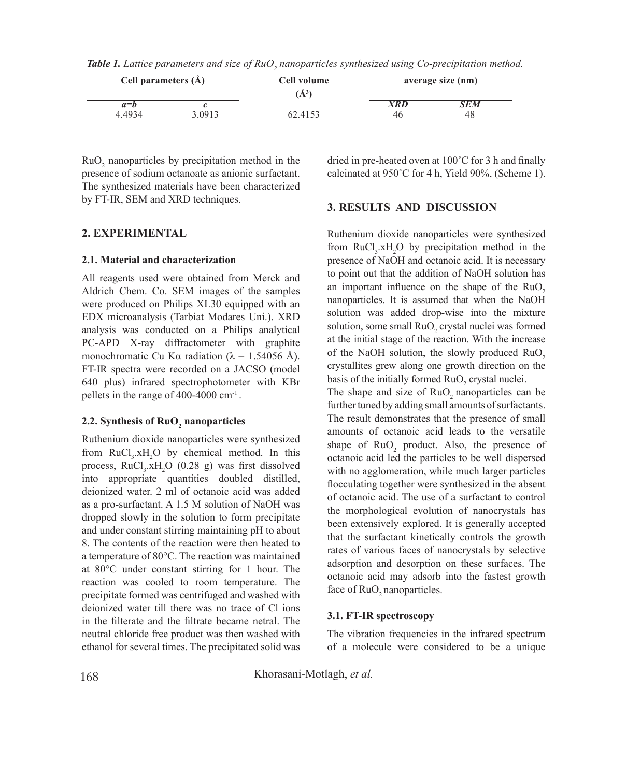| <b>Cell parameters (A)</b> |      | Cell volume<br>$\mathbf{A}^3$ | average size (nm) |  |
|----------------------------|------|-------------------------------|-------------------|--|
| $a = b$                    |      |                               | 7 K I I           |  |
|                            | IV I |                               | 4C                |  |

**Table 1.** Lattice parameters and size of RuO<sub>2</sub> nanoparticles synthesized using Co-precipitation method.

 $RuO<sub>2</sub>$  nanoparticles by precipitation method in the presence of sodium octanoate as anionic surfactant. The synthesized materials have been characterized by FT-IR, SEM and XRD techniques.

# **2. EXPERIMENTAL**

# **2.1. Material and characterization**

All reagents used were obtained from Merck and Aldrich Chem. Co. SEM images of the samples were produced on Philips XL30 equipped with an EDX microanalysis (Tarbiat Modares Uni.). XRD analysis was conducted on a Philips analytical PC-APD X-ray diffractometer with graphite monochromatic Cu Kα radiation ( $\lambda = 1.54056$  Å). FT-IR spectra were recorded on a JACSO (model 640 plus) infrared spectrophotometer with KBr pellets in the range of 400-4000 cm-1 .

# **2.2.** Synthesis of RuO<sub>2</sub> nanoparticles

Ruthenium dioxide nanoparticles were synthesized from  $RuCl<sub>3</sub>.xH<sub>2</sub>O$  by chemical method. In this process,  $RuCl<sub>3</sub> xH<sub>2</sub>O$  (0.28 g) was first dissolved into appropriate quantities doubled distilled, deionized water. 2 ml of octanoic acid was added as a pro-surfactant. A 1.5 M solution of NaOH was dropped slowly in the solution to form precipitate and under constant stirring maintaining pH to about 8. The contents of the reaction were then heated to a temperature of 80°C. The reaction was maintained at 80°C under constant stirring for 1 hour. The reaction was cooled to room temperature. The precipitate formed was centrifuged and washed with deionized water till there was no trace of Cl ions in the filterate and the filtrate became netral. The neutral chloride free product was then washed with ethanol for several times. The precipitated solid was

dried in pre-heated oven at 100˚C for 3 h and finally calcinated at 950˚C for 4 h, Yield 90%, (Scheme 1).

# **3. RESULTS AND DISCUSSION**

Ruthenium dioxide nanoparticles were synthesized from  $RuCl<sub>3</sub>$ .xH<sub>2</sub>O by precipitation method in the presence of NaOH and octanoic acid. It is necessary to point out that the addition of NaOH solution has an important influence on the shape of the  $RuO$ , nanoparticles. It is assumed that when the NaOH solution was added drop-wise into the mixture solution, some small  $RuO_2$  crystal nuclei was formed at the initial stage of the reaction. With the increase of the NaOH solution, the slowly produced RuO<sub>2</sub> crystallites grew along one growth direction on the basis of the initially formed  $RuO_2$  crystal nuclei.

The shape and size of  $RuO$ , nanoparticles can be further tuned by adding small amounts of surfactants. The result demonstrates that the presence of small amounts of octanoic acid leads to the versatile shape of  $RuO<sub>2</sub>$  product. Also, the presence of octanoic acid led the particles to be well dispersed with no agglomeration, while much larger particles flocculating together were synthesized in the absent of octanoic acid. The use of a surfactant to control the morphological evolution of nanocrystals has been extensively explored. It is generally accepted that the surfactant kinetically controls the growth rates of various faces of nanocrystals by selective adsorption and desorption on these surfaces. The octanoic acid may adsorb into the fastest growth face of RuO<sub>2</sub> nanoparticles.

#### **3.1. FT-IR spectroscopy**

The vibration frequencies in the infrared spectrum of a molecule were considered to be a unique

Khorasani-Motlagh, *et al.*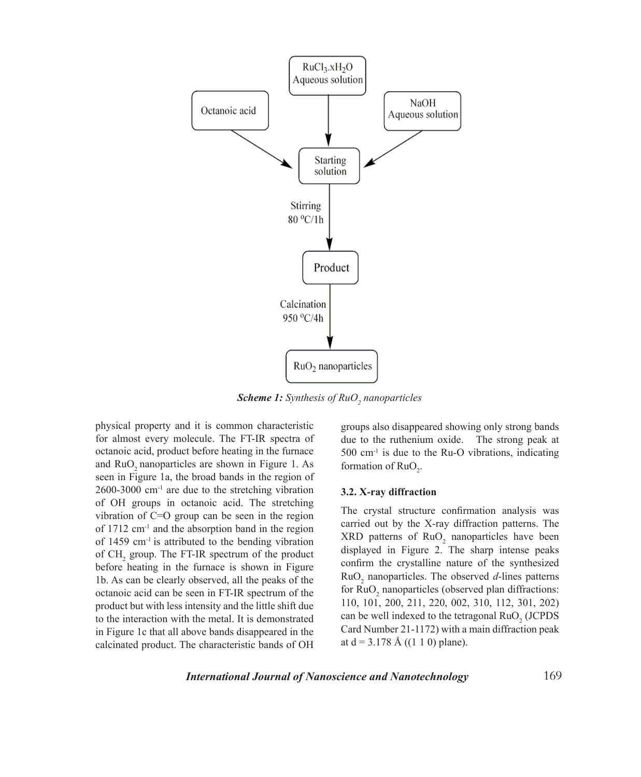

**Scheme 1:** Synthesis of RuO<sub>2</sub> nanoparticles

physical property and it is common characteristic for almost every molecule. The FT-IR spectra of octanoic acid, product before heating in the furnace and RuO<sub>2</sub> nanoparticles are shown in Figure 1. As seen in Figure 1a, the broad bands in the region of  $2600-3000$  cm<sup>-1</sup> are due to the stretching vibration of OH groups in octanoic acid. The stretching vibration of C=O group can be seen in the region of 1712 cm-1 and the absorption band in the region of 1459 cm-1 is attributed to the bending vibration of  $CH_2$  group. The FT-IR spectrum of the product before heating in the furnace is shown in Figure 1b. As can be clearly observed, all the peaks of the octanoic acid can be seen in FT-IR spectrum of the product but with less intensity and the little shift due to the interaction with the metal. It is demonstrated in Figure 1c that all above bands disappeared in the calcinated product. The characteristic bands of OH

groups also disappeared showing only strong bands due to the ruthenium oxide. The strong peak at  $500 \text{ cm}^{-1}$  is due to the Ru-O vibrations, indicating formation of  $RuO<sub>2</sub>$ .

#### **3.2. X-ray diffraction**

The crystal structure confirmation analysis was carried out by the X-ray diffraction patterns. The  $XRD$  patterns of  $RuO<sub>2</sub>$  nanoparticles have been displayed in Figure 2. The sharp intense peaks confirm the crystalline nature of the synthesized  $RuO<sub>2</sub>$  nanoparticles. The observed  $d$ -lines patterns for  $RuO<sub>2</sub>$  nanoparticles (observed plan diffractions: 110, 101, 200, 211, 220, 002, 310, 112, 301, 202) can be well indexed to the tetragonal  $RuO<sub>2</sub>$  (JCPDS) Card Number 21-1172) with a main diffraction peak at  $d = 3.178$  Å ((1 1 0) plane).

*International Journal of Nanoscience and Nanotechnology*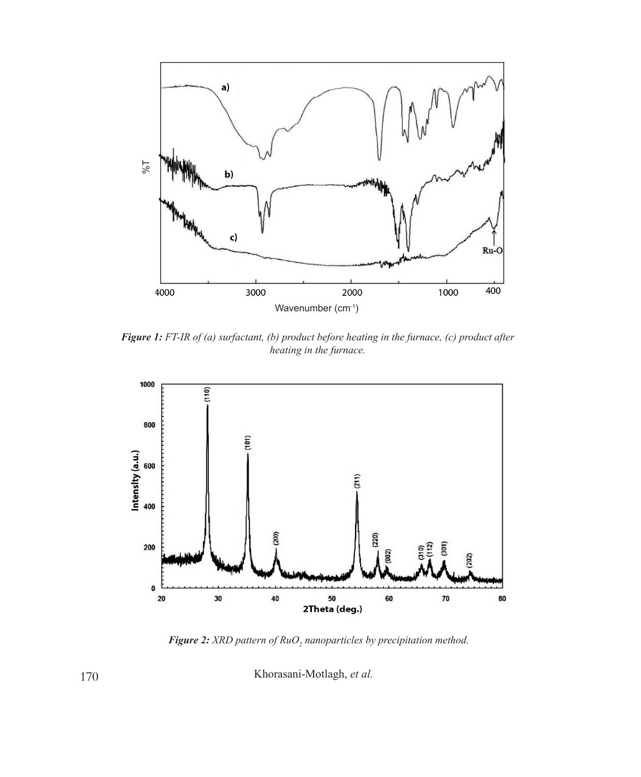

*Figure 1: FT-IR of (a) surfactant, (b) product before heating in the furnace, (c) product after heating in the furnace.* 



**Figure 2:** XRD pattern of RuO<sub>2</sub> nanoparticles by precipitation method.

Khorasani-Motlagh, *et al.*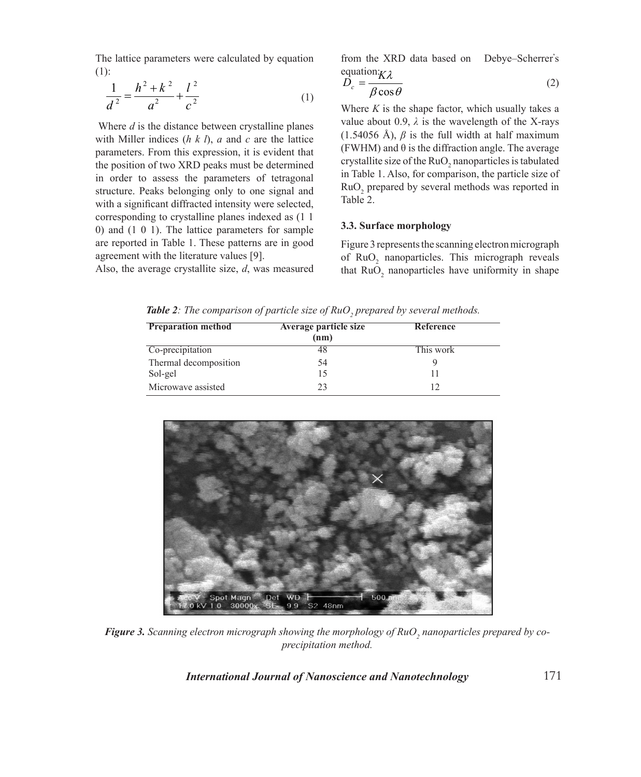The lattice parameters were calculated by equation (1):

$$
\frac{1}{d^2} = \frac{h^2 + k^2}{a^2} + \frac{l^2}{c^2}
$$
 (1)

 Where *d* is the distance between crystalline planes with Miller indices (*h k l*), *a* and *c* are the lattice parameters. From this expression, it is evident that the position of two XRD peaks must be determined in order to assess the parameters of tetragonal structure. Peaks belonging only to one signal and with a significant diffracted intensity were selected, corresponding to crystalline planes indexed as (1 1 0) and (1 0 1). The lattice parameters for sample are reported in Table 1. These patterns are in good agreement with the literature values [9].

Also, the average crystallite size, *d*, was measured

from the XRD data based on Debye–Scherrer**'** s equation: $K\lambda$ 

equation 
$$
K\lambda
$$
  
\n
$$
D_c = \frac{\beta \cos \theta}{\beta \cos \theta}
$$
\n(2)

Where  $K$  is the shape factor, which usually takes a value about 0.9,  $\lambda$  is the wavelength of the X-rays (1.54056 Å),  $\beta$  is the full width at half maximum (FWHM) and  $\theta$  is the diffraction angle. The average crystallite size of the  $RuO<sub>2</sub>$  nanoparticles is tabulated in Table 1. Also, for comparison, the particle size of  $RuO<sub>2</sub>$  prepared by several methods was reported in Table 2.

#### **3.3. Surface morphology**

Figure 3 represents the scanning electron micrograph of RuO<sub>2</sub> nanoparticles. This micrograph reveals that  $RuO<sub>2</sub>$  nanoparticles have uniformity in shape

**Table 2**: The comparison of particle size of  $RuO<sub>2</sub>$  prepared by several methods.

| <b>Preparation method</b> | Average particle size<br>(nm) | Reference |  |
|---------------------------|-------------------------------|-----------|--|
| Co-precipitation          |                               | This work |  |
| Thermal decomposition     | 54                            |           |  |
| Sol-gel                   |                               |           |  |
| Microwave assisted        | つ3                            | 12        |  |



**Figure 3.** Scanning electron micrograph showing the morphology of RuO<sub>2</sub> nanoparticles prepared by co*precipitation method.*

*International Journal of Nanoscience and Nanotechnology*